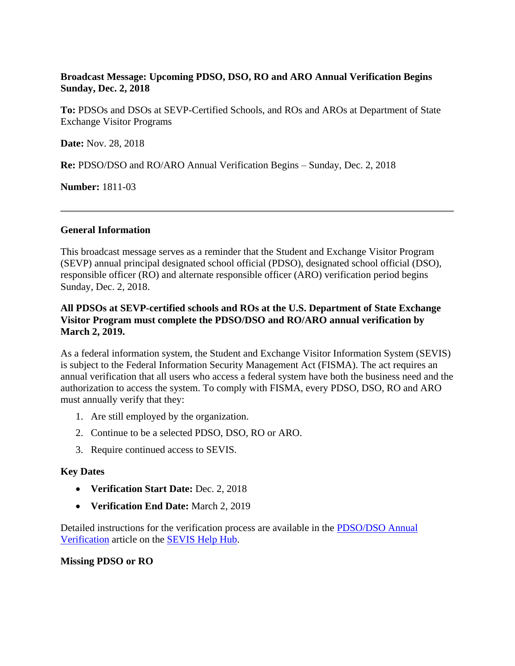# **Broadcast Message: Upcoming PDSO, DSO, RO and ARO Annual Verification Begins Sunday, Dec. 2, 2018**

**To:** PDSOs and DSOs at SEVP-Certified Schools, and ROs and AROs at Department of State Exchange Visitor Programs

**Date:** Nov. 28, 2018

**Re:** PDSO/DSO and RO/ARO Annual Verification Begins – Sunday, Dec. 2, 2018

**Number:** 1811-03

#### **General Information**

This broadcast message serves as a reminder that the Student and Exchange Visitor Program (SEVP) annual principal designated school official (PDSO), designated school official (DSO), responsible officer (RO) and alternate responsible officer (ARO) verification period begins Sunday, Dec. 2, 2018.

# **All PDSOs at SEVP-certified schools and ROs at the U.S. Department of State Exchange Visitor Program must complete the PDSO/DSO and RO/ARO annual verification by March 2, 2019.**

As a federal information system, the Student and Exchange Visitor Information System (SEVIS) is subject to the Federal Information Security Management Act (FISMA). The act requires an annual verification that all users who access a federal system have both the business need and the authorization to access the system. To comply with FISMA, every PDSO, DSO, RO and ARO must annually verify that they:

- 1. Are still employed by the organization.
- 2. Continue to be a selected PDSO, DSO, RO or ARO.
- 3. Require continued access to SEVIS.

### **Key Dates**

- **Verification Start Date:** Dec. 2, 2018
- **Verification End Date:** March 2, 2019

Detailed instructions for the verification process are available in the [PDSO/DSO Annual](https://studyinthestates.dhs.gov/sevis-help-hub/school-records/pdsodso-annual-verification)  [Verification](https://studyinthestates.dhs.gov/sevis-help-hub/school-records/pdsodso-annual-verification) article on the [SEVIS Help Hub.](https://studyinthestates.dhs.gov/sevis-help-hub)

### **Missing PDSO or RO**